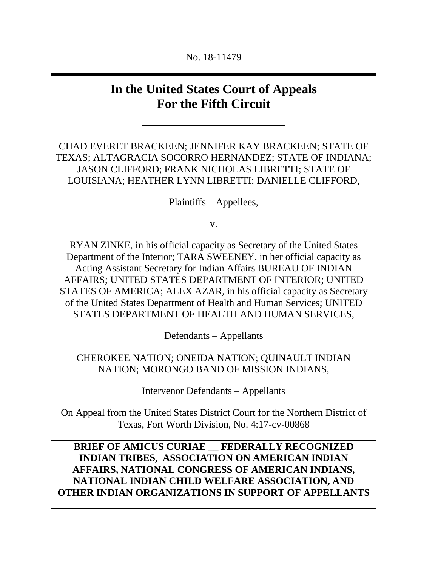#### No. 18-11479

# **In the United States Court of Appeals For the Fifth Circuit**

 $\overline{\phantom{a}}$  , where  $\overline{\phantom{a}}$ 

CHAD EVERET BRACKEEN; JENNIFER KAY BRACKEEN; STATE OF TEXAS; ALTAGRACIA SOCORRO HERNANDEZ; STATE OF INDIANA; JASON CLIFFORD; FRANK NICHOLAS LIBRETTI; STATE OF LOUISIANA; HEATHER LYNN LIBRETTI; DANIELLE CLIFFORD,

Plaintiffs – Appellees,

v.

RYAN ZINKE, in his official capacity as Secretary of the United States Department of the Interior; TARA SWEENEY, in her official capacity as Acting Assistant Secretary for Indian Affairs BUREAU OF INDIAN AFFAIRS; UNITED STATES DEPARTMENT OF INTERIOR; UNITED STATES OF AMERICA; ALEX AZAR, in his official capacity as Secretary of the United States Department of Health and Human Services; UNITED STATES DEPARTMENT OF HEALTH AND HUMAN SERVICES,

Defendants – Appellants

CHEROKEE NATION; ONEIDA NATION; QUINAULT INDIAN NATION; MORONGO BAND OF MISSION INDIANS,

Intervenor Defendants – Appellants

On Appeal from the United States District Court for the Northern District of Texas, Fort Worth Division, No. 4:17-cv-00868

**BRIEF OF AMICUS CURIAE \_\_ FEDERALLY RECOGNIZED INDIAN TRIBES, ASSOCIATION ON AMERICAN INDIAN AFFAIRS, NATIONAL CONGRESS OF AMERICAN INDIANS, NATIONAL INDIAN CHILD WELFARE ASSOCIATION, AND OTHER INDIAN ORGANIZATIONS IN SUPPORT OF APPELLANTS**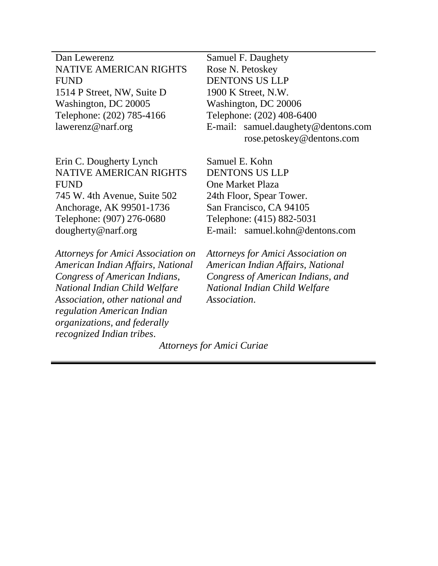Dan Lewerenz NATIVE AMERICAN RIGHTS FUND 1514 P Street, NW, Suite D Washington, DC 20005 Telephone: (202) 785-4166 lawerenz@narf.org

Erin C. Dougherty Lynch NATIVE AMERICAN RIGHTS FUND 745 W. 4th Avenue, Suite 502 Anchorage, AK 99501-1736 Telephone: (907) 276-0680 dougherty@narf.org

*Attorneys for Amici Association on American Indian Affairs, National Congress of American Indians, National Indian Child Welfare Association, other national and regulation American Indian organizations, and federally recognized Indian tribes*.

Samuel F. Daughety Rose N. Petoskey DENTONS US LLP 1900 K Street, N.W. Washington, DC 20006 Telephone: (202) 408-6400 E-mail: samuel.daughety@dentons.com rose.petoskey@dentons.com

Samuel E. Kohn DENTONS US LLP One Market Plaza 24th Floor, Spear Tower. San Francisco, CA 94105 Telephone: (415) 882-5031 E-mail: samuel.kohn@dentons.com

*Attorneys for Amici Association on American Indian Affairs, National Congress of American Indians, and National Indian Child Welfare Association*.

*Attorneys for Amici Curiae*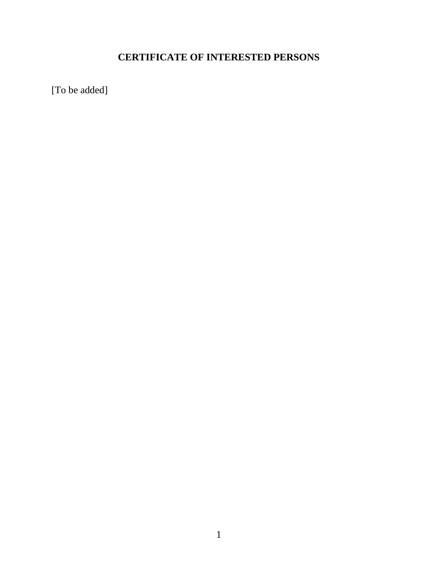# **CERTIFICATE OF INTERESTED PERSONS**

[To be added]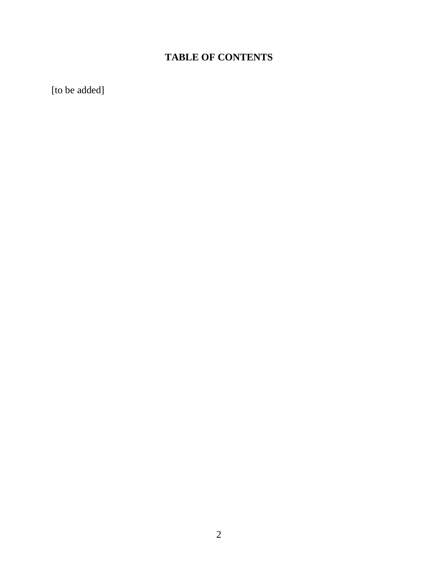# **TABLE OF CONTENTS**

[to be added]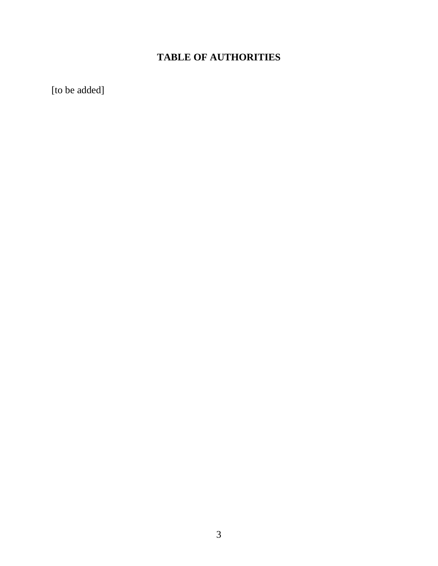## **TABLE OF AUTHORITIES**

[to be added]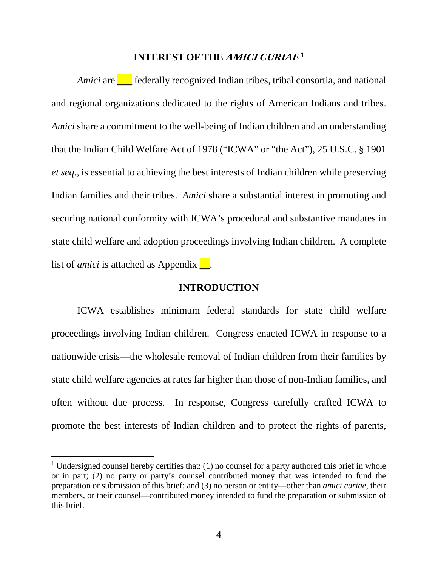#### **INTEREST OF THE AMICI CURIAE[1](#page-5-0)**

*Amici* are **Lu** federally recognized Indian tribes, tribal consortia, and national and regional organizations dedicated to the rights of American Indians and tribes. *Amici* share a commitment to the well-being of Indian children and an understanding that the Indian Child Welfare Act of 1978 ("ICWA" or "the Act"), 25 U.S.C. § 1901 *et seq.,* is essential to achieving the best interests of Indian children while preserving Indian families and their tribes. *Amici* share a substantial interest in promoting and securing national conformity with ICWA's procedural and substantive mandates in state child welfare and adoption proceedings involving Indian children. A complete list of *amici* is attached as Appendix  $\blacksquare$ .

#### **INTRODUCTION**

ICWA establishes minimum federal standards for state child welfare proceedings involving Indian children. Congress enacted ICWA in response to a nationwide crisis—the wholesale removal of Indian children from their families by state child welfare agencies at rates far higher than those of non-Indian families, and often without due process. In response, Congress carefully crafted ICWA to promote the best interests of Indian children and to protect the rights of parents,

<span id="page-5-0"></span><sup>&</sup>lt;sup>1</sup> Undersigned counsel hereby certifies that: (1) no counsel for a party authored this brief in whole or in part; (2) no party or party's counsel contributed money that was intended to fund the preparation or submission of this brief; and (3) no person or entity—other than *amici curiae*, their members, or their counsel—contributed money intended to fund the preparation or submission of this brief.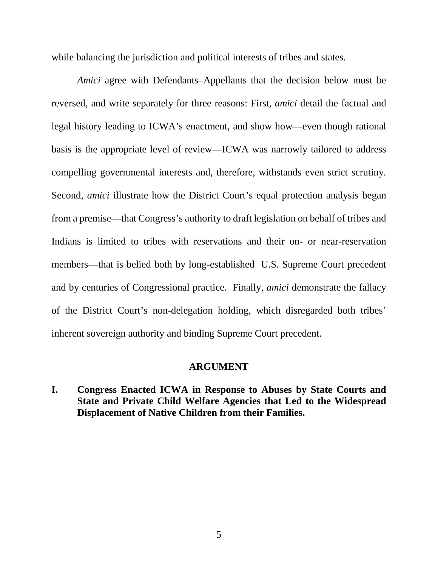while balancing the jurisdiction and political interests of tribes and states.

*Amici* agree with Defendants–Appellants that the decision below must be reversed, and write separately for three reasons: First, *amici* detail the factual and legal history leading to ICWA's enactment, and show how—even though rational basis is the appropriate level of review—ICWA was narrowly tailored to address compelling governmental interests and, therefore, withstands even strict scrutiny. Second, *amici* illustrate how the District Court's equal protection analysis began from a premise—that Congress's authority to draft legislation on behalf of tribes and Indians is limited to tribes with reservations and their on- or near-reservation members—that is belied both by long-established U.S. Supreme Court precedent and by centuries of Congressional practice. Finally, *amici* demonstrate the fallacy of the District Court's non-delegation holding, which disregarded both tribes' inherent sovereign authority and binding Supreme Court precedent.

#### **ARGUMENT**

**I. Congress Enacted ICWA in Response to Abuses by State Courts and State and Private Child Welfare Agencies that Led to the Widespread Displacement of Native Children from their Families.**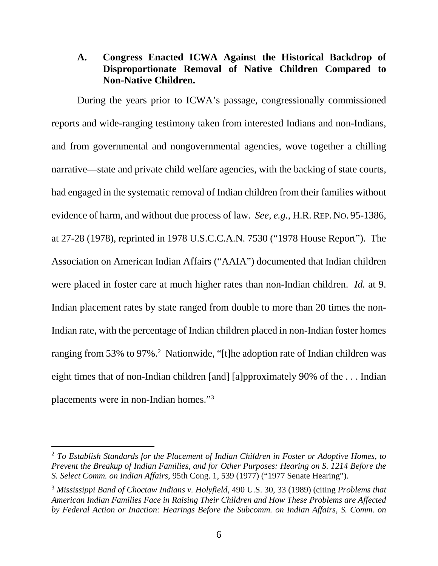### **A. Congress Enacted ICWA Against the Historical Backdrop of Disproportionate Removal of Native Children Compared to Non-Native Children.**

During the years prior to ICWA's passage, congressionally commissioned reports and wide-ranging testimony taken from interested Indians and non-Indians, and from governmental and nongovernmental agencies, wove together a chilling narrative—state and private child welfare agencies, with the backing of state courts, had engaged in the systematic removal of Indian children from their families without evidence of harm, and without due process of law. *See, e.g.*, H.R. REP. NO. 95-1386, at 27-28 (1978), reprinted in 1978 U.S.C.C.A.N. 7530 ("1978 House Report"). The Association on American Indian Affairs ("AAIA") documented that Indian children were placed in foster care at much higher rates than non-Indian children. *Id.* at 9. Indian placement rates by state ranged from double to more than 20 times the non-Indian rate, with the percentage of Indian children placed in non-Indian foster homes ranging from 53% to 97%.<sup>[2](#page-7-0)</sup> Nationwide, "[t]he adoption rate of Indian children was eight times that of non-Indian children [and] [a]pproximately 90% of the . . . Indian placements were in non-Indian homes."[3](#page-7-1)

<span id="page-7-0"></span> <sup>2</sup> *To Establish Standards for the Placement of Indian Children in Foster or Adoptive Homes, to Prevent the Breakup of Indian Families, and for Other Purposes: Hearing on S. 1214 Before the S. Select Comm. on Indian Affairs*, 95th Cong. 1, 539 (1977) ("1977 Senate Hearing").

<span id="page-7-1"></span><sup>3</sup> *Mississippi Band of Choctaw Indians v. Holyfield*, 490 U.S. 30, 33 (1989) (citing *Problems that American Indian Families Face in Raising Their Children and How These Problems are Affected by Federal Action or Inaction: Hearings Before the Subcomm. on Indian Affairs, S. Comm. on*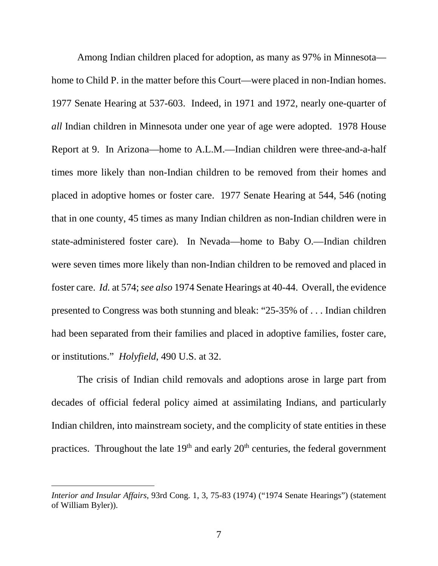Among Indian children placed for adoption, as many as 97% in Minnesota home to Child P. in the matter before this Court—were placed in non-Indian homes. 1977 Senate Hearing at 537-603. Indeed, in 1971 and 1972, nearly one-quarter of *all* Indian children in Minnesota under one year of age were adopted. 1978 House Report at 9. In Arizona—home to A.L.M.—Indian children were three-and-a-half times more likely than non-Indian children to be removed from their homes and placed in adoptive homes or foster care. 1977 Senate Hearing at 544, 546 (noting that in one county, 45 times as many Indian children as non-Indian children were in state-administered foster care). In Nevada—home to Baby O.—Indian children were seven times more likely than non-Indian children to be removed and placed in foster care. *Id.* at 574; *see also* 1974 Senate Hearings at 40-44. Overall, the evidence presented to Congress was both stunning and bleak: "25-35% of . . . Indian children had been separated from their families and placed in adoptive families, foster care, or institutions." *Holyfield*, 490 U.S. at 32.

The crisis of Indian child removals and adoptions arose in large part from decades of official federal policy aimed at assimilating Indians, and particularly Indian children, into mainstream society, and the complicity of state entities in these practices. Throughout the late  $19<sup>th</sup>$  and early  $20<sup>th</sup>$  centuries, the federal government

 $\overline{a}$ 

*Interior and Insular Affairs*, 93rd Cong. 1, 3, 75-83 (1974) ("1974 Senate Hearings") (statement of William Byler)).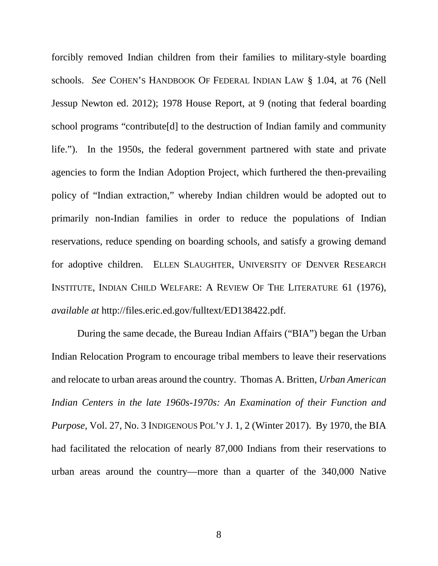forcibly removed Indian children from their families to military-style boarding schools. *See* COHEN'S HANDBOOK OF FEDERAL INDIAN LAW § 1.04, at 76 (Nell Jessup Newton ed. 2012); 1978 House Report, at 9 (noting that federal boarding school programs "contribute[d] to the destruction of Indian family and community life."). In the 1950s, the federal government partnered with state and private agencies to form the Indian Adoption Project, which furthered the then-prevailing policy of "Indian extraction," whereby Indian children would be adopted out to primarily non-Indian families in order to reduce the populations of Indian reservations, reduce spending on boarding schools, and satisfy a growing demand for adoptive children. ELLEN SLAUGHTER, UNIVERSITY OF DENVER RESEARCH INSTITUTE, INDIAN CHILD WELFARE: A REVIEW OF THE LITERATURE 61 (1976), *available at* http://files.eric.ed.gov/fulltext/ED138422.pdf.

During the same decade, the Bureau Indian Affairs ("BIA") began the Urban Indian Relocation Program to encourage tribal members to leave their reservations and relocate to urban areas around the country. Thomas A. Britten, *Urban American Indian Centers in the late 1960s-1970s: An Examination of their Function and Purpose*, Vol. 27, No. 3 INDIGENOUS POL'Y J. 1, 2 (Winter 2017). By 1970, the BIA had facilitated the relocation of nearly 87,000 Indians from their reservations to urban areas around the country—more than a quarter of the 340,000 Native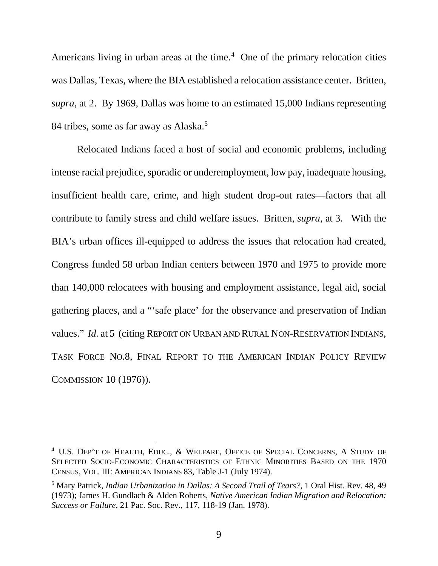Americans living in urban areas at the time. $4$  One of the primary relocation cities was Dallas, Texas, where the BIA established a relocation assistance center. Britten, *supra*, at 2. By 1969, Dallas was home to an estimated 15,000 Indians representing 84 tribes, some as far away as Alaska.<sup>[5](#page-10-1)</sup>

Relocated Indians faced a host of social and economic problems, including intense racial prejudice, sporadic or underemployment, low pay, inadequate housing, insufficient health care, crime, and high student drop-out rates—factors that all contribute to family stress and child welfare issues. Britten, *supra*, at 3. With the BIA's urban offices ill-equipped to address the issues that relocation had created, Congress funded 58 urban Indian centers between 1970 and 1975 to provide more than 140,000 relocatees with housing and employment assistance, legal aid, social gathering places, and a "'safe place' for the observance and preservation of Indian values." *Id.* at 5 (citing REPORT ON URBAN AND RURAL NON-RESERVATION INDIANS, TASK FORCE NO.8, FINAL REPORT TO THE AMERICAN INDIAN POLICY REVIEW COMMISSION 10 (1976)).

<span id="page-10-0"></span><sup>&</sup>lt;sup>4</sup> U.S. DEP'T OF HEALTH, EDUC., & WELFARE, OFFICE OF SPECIAL CONCERNS, A STUDY OF SELECTED SOCIO-ECONOMIC CHARACTERISTICS OF ETHNIC MINORITIES BASED ON THE 1970 CENSUS, VOL. III: AMERICAN INDIANS 83, Table J-1 (July 1974).

<span id="page-10-1"></span><sup>5</sup> Mary Patrick, *Indian Urbanization in Dallas: A Second Trail of Tears?*, 1 Oral Hist. Rev. 48, 49 (1973); James H. Gundlach & Alden Roberts, *Native American Indian Migration and Relocation: Success or Failure*, 21 Pac. Soc. Rev., 117, 118-19 (Jan. 1978).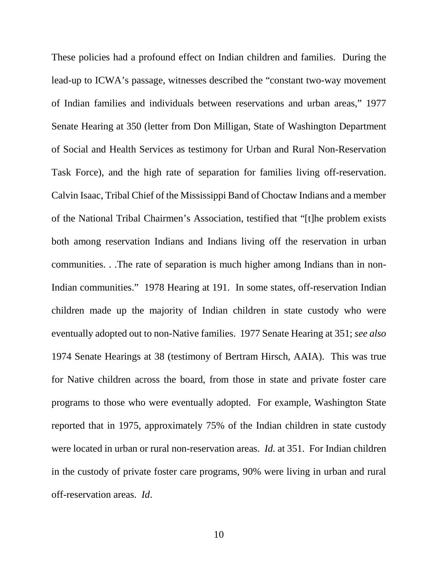These policies had a profound effect on Indian children and families. During the lead-up to ICWA's passage, witnesses described the "constant two-way movement of Indian families and individuals between reservations and urban areas," 1977 Senate Hearing at 350 (letter from Don Milligan, State of Washington Department of Social and Health Services as testimony for Urban and Rural Non-Reservation Task Force), and the high rate of separation for families living off-reservation. Calvin Isaac, Tribal Chief of the Mississippi Band of Choctaw Indians and a member of the National Tribal Chairmen's Association, testified that "[t]he problem exists both among reservation Indians and Indians living off the reservation in urban communities. . .The rate of separation is much higher among Indians than in non-Indian communities." 1978 Hearing at 191. In some states, off-reservation Indian children made up the majority of Indian children in state custody who were eventually adopted out to non-Native families. 1977 Senate Hearing at 351; *see also* 1974 Senate Hearings at 38 (testimony of Bertram Hirsch, AAIA). This was true for Native children across the board, from those in state and private foster care programs to those who were eventually adopted. For example, Washington State reported that in 1975, approximately 75% of the Indian children in state custody were located in urban or rural non-reservation areas. *Id.* at 351. For Indian children in the custody of private foster care programs, 90% were living in urban and rural off-reservation areas. *Id*.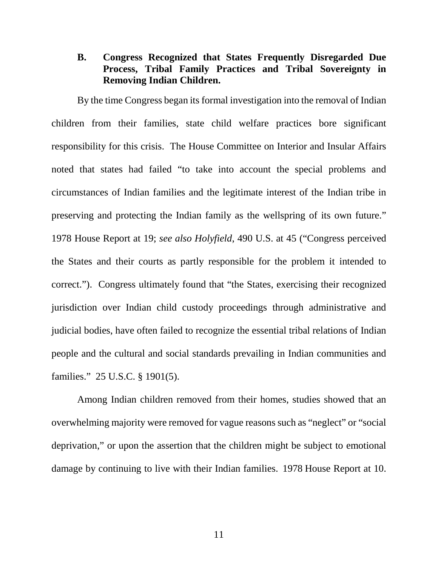#### **B. Congress Recognized that States Frequently Disregarded Due Process, Tribal Family Practices and Tribal Sovereignty in Removing Indian Children.**

By the time Congress began its formal investigation into the removal of Indian children from their families, state child welfare practices bore significant responsibility for this crisis. The House Committee on Interior and Insular Affairs noted that states had failed "to take into account the special problems and circumstances of Indian families and the legitimate interest of the Indian tribe in preserving and protecting the Indian family as the wellspring of its own future." 1978 House Report at 19; *see also Holyfield*, 490 U.S. at 45 ("Congress perceived the States and their courts as partly responsible for the problem it intended to correct."). Congress ultimately found that "the States, exercising their recognized jurisdiction over Indian child custody proceedings through administrative and judicial bodies, have often failed to recognize the essential tribal relations of Indian people and the cultural and social standards prevailing in Indian communities and families." 25 U.S.C. § 1901(5).

Among Indian children removed from their homes, studies showed that an overwhelming majority were removed for vague reasons such as "neglect" or "social deprivation," or upon the assertion that the children might be subject to emotional damage by continuing to live with their Indian families. 1978 House Report at 10.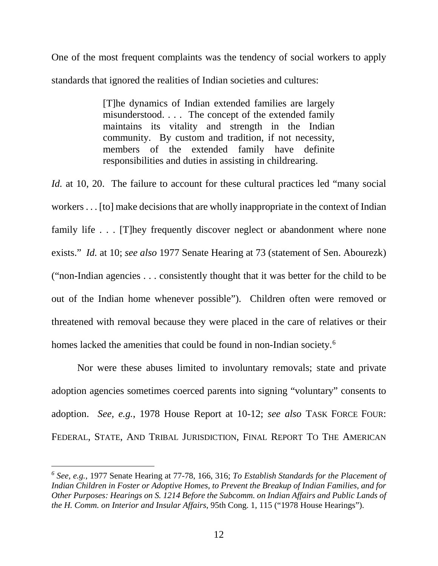One of the most frequent complaints was the tendency of social workers to apply standards that ignored the realities of Indian societies and cultures:

> [T]he dynamics of Indian extended families are largely misunderstood. . . . The concept of the extended family maintains its vitality and strength in the Indian community. By custom and tradition, if not necessity, members of the extended family have definite responsibilities and duties in assisting in childrearing.

*Id.* at 10, 20. The failure to account for these cultural practices led "many social" workers . . . [to] make decisions that are wholly inappropriate in the context of Indian family life . . . [T]hey frequently discover neglect or abandonment where none exists." *Id.* at 10; *see also* 1977 Senate Hearing at 73 (statement of Sen. Abourezk) ("non-Indian agencies . . . consistently thought that it was better for the child to be out of the Indian home whenever possible"). Children often were removed or threatened with removal because they were placed in the care of relatives or their homes lacked the amenities that could be found in non-Indian society.<sup>[6](#page-13-0)</sup>

Nor were these abuses limited to involuntary removals; state and private adoption agencies sometimes coerced parents into signing "voluntary" consents to adoption. *See, e.g.*, 1978 House Report at 10-12; *see also* TASK FORCE FOUR: FEDERAL, STATE, AND TRIBAL JURISDICTION, FINAL REPORT TO THE AMERICAN

 $\overline{a}$ 

<span id="page-13-0"></span>*<sup>6</sup> See, e.g.*, 1977 Senate Hearing at 77-78, 166, 316; *To Establish Standards for the Placement of Indian Children in Foster or Adoptive Homes, to Prevent the Breakup of Indian Families, and for Other Purposes: Hearings on S. 1214 Before the Subcomm. on Indian Affairs and Public Lands of the H. Comm. on Interior and Insular Affairs*, 95th Cong. 1, 115 ("1978 House Hearings").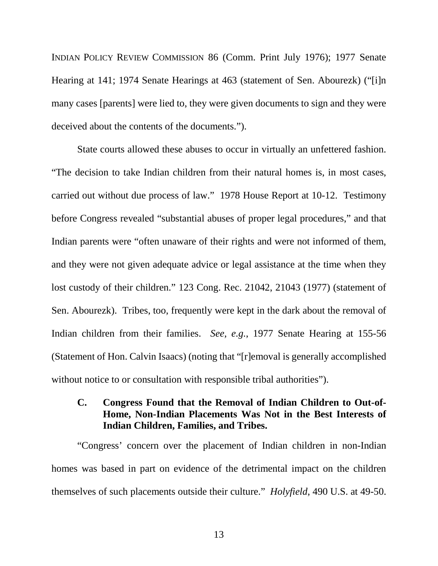INDIAN POLICY REVIEW COMMISSION 86 (Comm. Print July 1976); 1977 Senate Hearing at 141; 1974 Senate Hearings at 463 (statement of Sen. Abourezk) ("[i]n many cases [parents] were lied to, they were given documents to sign and they were deceived about the contents of the documents.").

State courts allowed these abuses to occur in virtually an unfettered fashion. "The decision to take Indian children from their natural homes is, in most cases, carried out without due process of law." 1978 House Report at 10-12. Testimony before Congress revealed "substantial abuses of proper legal procedures," and that Indian parents were "often unaware of their rights and were not informed of them, and they were not given adequate advice or legal assistance at the time when they lost custody of their children." 123 Cong. Rec. 21042, 21043 (1977) (statement of Sen. Abourezk). Tribes, too, frequently were kept in the dark about the removal of Indian children from their families. *See, e.g.*, 1977 Senate Hearing at 155-56 (Statement of Hon. Calvin Isaacs) (noting that "[r]emoval is generally accomplished without notice to or consultation with responsible tribal authorities").

#### **C. Congress Found that the Removal of Indian Children to Out-of-Home, Non-Indian Placements Was Not in the Best Interests of Indian Children, Families, and Tribes.**

"Congress' concern over the placement of Indian children in non-Indian homes was based in part on evidence of the detrimental impact on the children themselves of such placements outside their culture." *Holyfield*, 490 U.S. at 49-50.

13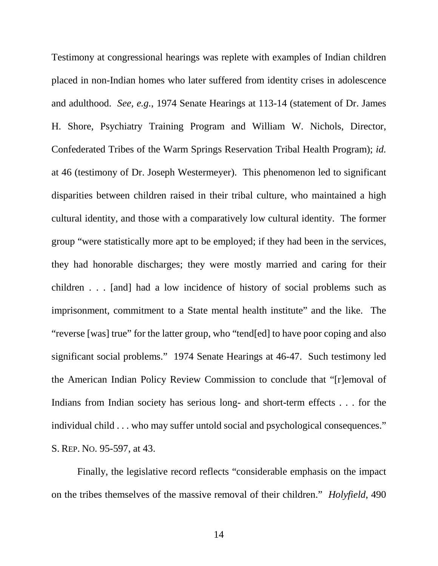Testimony at congressional hearings was replete with examples of Indian children placed in non-Indian homes who later suffered from identity crises in adolescence and adulthood. *See, e.g.*, 1974 Senate Hearings at 113-14 (statement of Dr. James H. Shore, Psychiatry Training Program and William W. Nichols, Director, Confederated Tribes of the Warm Springs Reservation Tribal Health Program); *id.* at 46 (testimony of Dr. Joseph Westermeyer). This phenomenon led to significant disparities between children raised in their tribal culture, who maintained a high cultural identity, and those with a comparatively low cultural identity. The former group "were statistically more apt to be employed; if they had been in the services, they had honorable discharges; they were mostly married and caring for their children . . . [and] had a low incidence of history of social problems such as imprisonment, commitment to a State mental health institute" and the like. The "reverse [was] true" for the latter group, who "tend[ed] to have poor coping and also significant social problems." 1974 Senate Hearings at 46-47. Such testimony led the American Indian Policy Review Commission to conclude that "[r]emoval of Indians from Indian society has serious long- and short-term effects . . . for the individual child . . . who may suffer untold social and psychological consequences." S. REP. NO. 95-597, at 43.

Finally, the legislative record reflects "considerable emphasis on the impact on the tribes themselves of the massive removal of their children." *Holyfield*, 490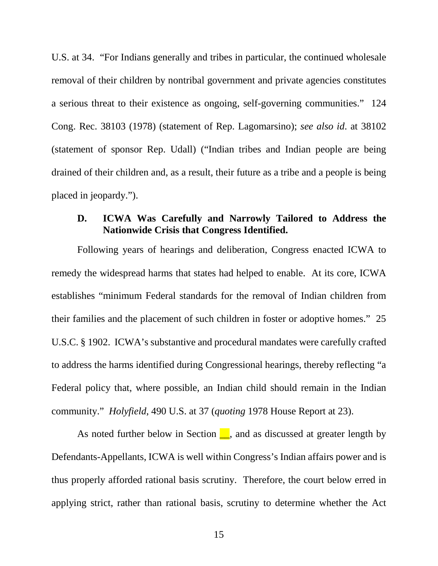U.S. at 34. "For Indians generally and tribes in particular, the continued wholesale removal of their children by nontribal government and private agencies constitutes a serious threat to their existence as ongoing, self-governing communities." 124 Cong. Rec. 38103 (1978) (statement of Rep. Lagomarsino); *see also id*. at 38102 (statement of sponsor Rep. Udall) ("Indian tribes and Indian people are being drained of their children and, as a result, their future as a tribe and a people is being placed in jeopardy.").

### **D. ICWA Was Carefully and Narrowly Tailored to Address the Nationwide Crisis that Congress Identified.**

Following years of hearings and deliberation, Congress enacted ICWA to remedy the widespread harms that states had helped to enable. At its core, ICWA establishes "minimum Federal standards for the removal of Indian children from their families and the placement of such children in foster or adoptive homes." 25 U.S.C. § 1902. ICWA's substantive and procedural mandates were carefully crafted to address the harms identified during Congressional hearings, thereby reflecting "a Federal policy that, where possible, an Indian child should remain in the Indian community." *Holyfield*, 490 U.S. at 37 (*quoting* 1978 House Report at 23).

As noted further below in Section  $\Box$ , and as discussed at greater length by Defendants-Appellants, ICWA is well within Congress's Indian affairs power and is thus properly afforded rational basis scrutiny. Therefore, the court below erred in applying strict, rather than rational basis, scrutiny to determine whether the Act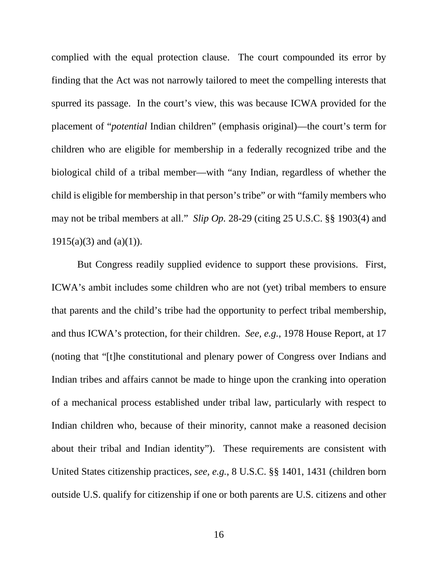complied with the equal protection clause. The court compounded its error by finding that the Act was not narrowly tailored to meet the compelling interests that spurred its passage. In the court's view, this was because ICWA provided for the placement of "*potential* Indian children" (emphasis original)—the court's term for children who are eligible for membership in a federally recognized tribe and the biological child of a tribal member—with "any Indian, regardless of whether the child is eligible for membership in that person's tribe" or with "family members who may not be tribal members at all." *Slip Op.* 28-29 (citing 25 U.S.C. §§ 1903(4) and  $1915(a)(3)$  and  $(a)(1)$ ).

But Congress readily supplied evidence to support these provisions. First, ICWA's ambit includes some children who are not (yet) tribal members to ensure that parents and the child's tribe had the opportunity to perfect tribal membership, and thus ICWA's protection, for their children. *See, e.g.*, 1978 House Report, at 17 (noting that "[t]he constitutional and plenary power of Congress over Indians and Indian tribes and affairs cannot be made to hinge upon the cranking into operation of a mechanical process established under tribal law, particularly with respect to Indian children who, because of their minority, cannot make a reasoned decision about their tribal and Indian identity"). These requirements are consistent with United States citizenship practices, *see, e.g.*, 8 U.S.C. §§ 1401, 1431 (children born outside U.S. qualify for citizenship if one or both parents are U.S. citizens and other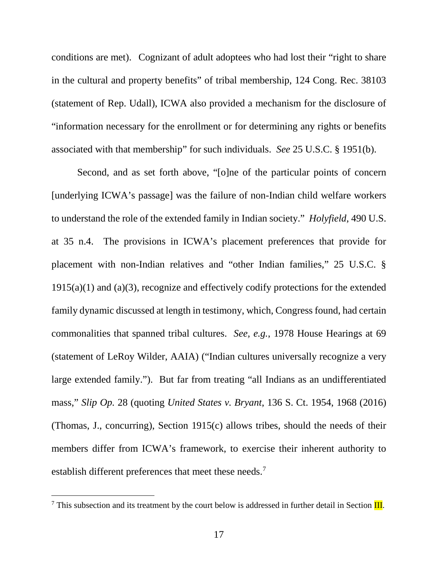conditions are met). Cognizant of adult adoptees who had lost their "right to share in the cultural and property benefits" of tribal membership, 124 Cong. Rec. 38103 (statement of Rep. Udall), ICWA also provided a mechanism for the disclosure of "information necessary for the enrollment or for determining any rights or benefits associated with that membership" for such individuals. *See* 25 U.S.C. § 1951(b).

Second, and as set forth above, "[o]ne of the particular points of concern [underlying ICWA's passage] was the failure of non-Indian child welfare workers to understand the role of the extended family in Indian society." *Holyfield*, 490 U.S. at 35 n.4. The provisions in ICWA's placement preferences that provide for placement with non-Indian relatives and "other Indian families," 25 U.S.C. §  $1915(a)(1)$  and  $(a)(3)$ , recognize and effectively codify protections for the extended family dynamic discussed at length in testimony, which, Congress found, had certain commonalities that spanned tribal cultures. *See, e.g.*, 1978 House Hearings at 69 (statement of LeRoy Wilder, AAIA) ("Indian cultures universally recognize a very large extended family."). But far from treating "all Indians as an undifferentiated mass," *Slip Op.* 28 (quoting *United States v. Bryant*, 136 S. Ct. 1954, 1968 (2016) (Thomas, J., concurring), Section 1915(c) allows tribes, should the needs of their members differ from ICWA's framework, to exercise their inherent authority to establish different preferences that meet these needs.<sup>7</sup>

<span id="page-18-0"></span> $<sup>7</sup>$  This subsection and its treatment by the court below is addressed in further detail in Section III.</sup>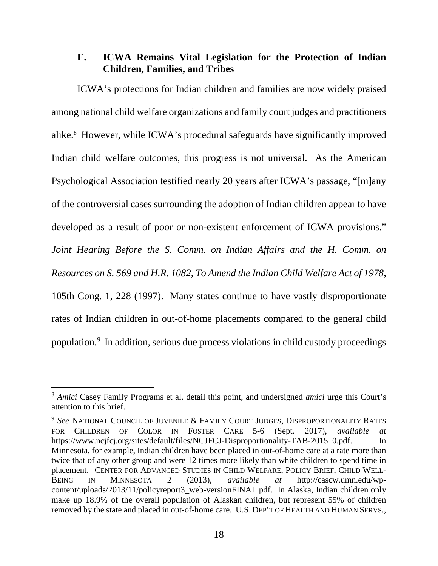#### **E. ICWA Remains Vital Legislation for the Protection of Indian Children, Families, and Tribes**

ICWA's protections for Indian children and families are now widely praised among national child welfare organizations and family court judges and practitioners alike.[8](#page-19-0) However, while ICWA's procedural safeguards have significantly improved Indian child welfare outcomes, this progress is not universal. As the American Psychological Association testified nearly 20 years after ICWA's passage, "[m]any of the controversial cases surrounding the adoption of Indian children appear to have developed as a result of poor or non-existent enforcement of ICWA provisions." *Joint Hearing Before the S. Comm. on Indian Affairs and the H. Comm. on Resources on S. 569 and H.R. 1082, To Amend the Indian Child Welfare Act of 1978*, 105th Cong. 1, 228 (1997). Many states continue to have vastly disproportionate rates of Indian children in out-of-home placements compared to the general child population.<sup>[9](#page-19-1)</sup> In addition, serious due process violations in child custody proceedings

<span id="page-19-0"></span> <sup>8</sup> *Amici* Casey Family Programs et al. detail this point, and undersigned *amici* urge this Court's attention to this brief.

<span id="page-19-1"></span><sup>9</sup> *See* NATIONAL COUNCIL OF JUVENILE & FAMILY COURT JUDGES, DISPROPORTIONALITY RATES FOR CHILDREN OF COLOR IN FOSTER CARE 5-6 (Sept. 2017), *available at* https://www.ncjfcj.org/sites/default/files/NCJFCJ-Disproportionality-TAB-2015\_0.pdf. In Minnesota, for example, Indian children have been placed in out-of-home care at a rate more than twice that of any other group and were 12 times more likely than white children to spend time in placement. CENTER FOR ADVANCED STUDIES IN CHILD WELFARE, POLICY BRIEF, CHILD WELL-BEING IN MINNESOTA 2 (2013), *available at* http://cascw.umn.edu/wpcontent/uploads/2013/11/policyreport3 web-versionFINAL.pdf. In Alaska, Indian children only make up 18.9% of the overall population of Alaskan children, but represent 55% of children removed by the state and placed in out-of-home care. U.S. DEP'T OF HEALTH AND HUMAN SERVS.,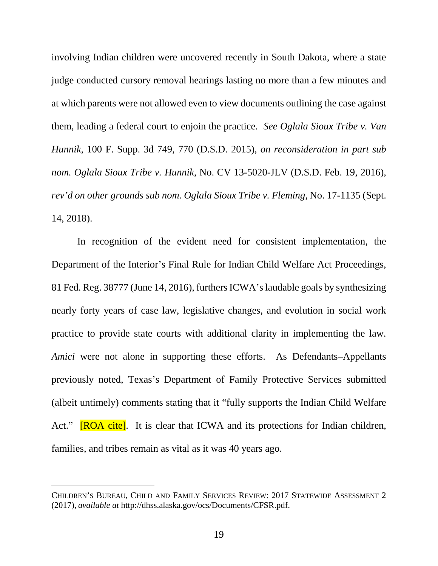involving Indian children were uncovered recently in South Dakota, where a state judge conducted cursory removal hearings lasting no more than a few minutes and at which parents were not allowed even to view documents outlining the case against them, leading a federal court to enjoin the practice. *See Oglala Sioux Tribe v. Van Hunnik*, 100 F. Supp. 3d 749, 770 (D.S.D. 2015), *on reconsideration in part sub nom. Oglala Sioux Tribe v. Hunnik*, No. CV 13-5020-JLV (D.S.D. Feb. 19, 2016), *rev'd on other grounds sub nom. Oglala Sioux Tribe v. Fleming*, No. 17-1135 (Sept. 14, 2018).

In recognition of the evident need for consistent implementation, the Department of the Interior's Final Rule for Indian Child Welfare Act Proceedings, 81 Fed. Reg. 38777 (June 14, 2016), furthers ICWA's laudable goals by synthesizing nearly forty years of case law, legislative changes, and evolution in social work practice to provide state courts with additional clarity in implementing the law. *Amici* were not alone in supporting these efforts. As Defendants–Appellants previously noted, Texas's Department of Family Protective Services submitted (albeit untimely) comments stating that it "fully supports the Indian Child Welfare Act." **[ROA cite]**. It is clear that ICWA and its protections for Indian children, families, and tribes remain as vital as it was 40 years ago.

 $\overline{a}$ 

CHILDREN'S BUREAU, CHILD AND FAMILY SERVICES REVIEW: 2017 STATEWIDE ASSESSMENT 2 (2017), *available at* http://dhss.alaska.gov/ocs/Documents/CFSR.pdf.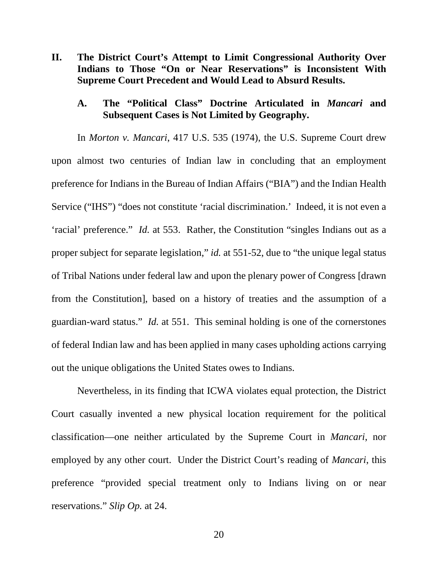**II. The District Court's Attempt to Limit Congressional Authority Over Indians to Those "On or Near Reservations" is Inconsistent With Supreme Court Precedent and Would Lead to Absurd Results.**

#### **A. The "Political Class" Doctrine Articulated in** *Mancari* **and Subsequent Cases is Not Limited by Geography.**

In *Morton v. Mancari*, 417 U.S. 535 (1974), the U.S. Supreme Court drew upon almost two centuries of Indian law in concluding that an employment preference for Indians in the Bureau of Indian Affairs ("BIA") and the Indian Health Service ("IHS") "does not constitute 'racial discrimination.' Indeed, it is not even a 'racial' preference." *Id.* at 553. Rather, the Constitution "singles Indians out as a proper subject for separate legislation," *id.* at 551-52, due to "the unique legal status" of Tribal Nations under federal law and upon the plenary power of Congress [drawn from the Constitution], based on a history of treaties and the assumption of a guardian-ward status." *Id.* at 551. This seminal holding is one of the cornerstones of federal Indian law and has been applied in many cases upholding actions carrying out the unique obligations the United States owes to Indians.

Nevertheless, in its finding that ICWA violates equal protection, the District Court casually invented a new physical location requirement for the political classification—one neither articulated by the Supreme Court in *Mancari*, nor employed by any other court. Under the District Court's reading of *Mancari*, this preference "provided special treatment only to Indians living on or near reservations." *Slip Op.* at 24.

20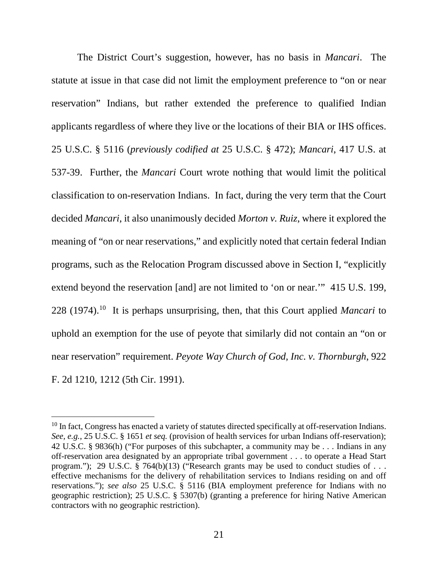The District Court's suggestion, however, has no basis in *Mancari*. The statute at issue in that case did not limit the employment preference to "on or near reservation" Indians, but rather extended the preference to qualified Indian applicants regardless of where they live or the locations of their BIA or IHS offices. 25 U.S.C. § 5116 (*previously codified at* 25 U.S.C. § 472); *Mancari*, 417 U.S. at 537-39. Further, the *Mancari* Court wrote nothing that would limit the political classification to on-reservation Indians. In fact, during the very term that the Court decided *Mancari*, it also unanimously decided *Morton v. Ruiz*, where it explored the meaning of "on or near reservations," and explicitly noted that certain federal Indian programs, such as the Relocation Program discussed above in Section I, "explicitly extend beyond the reservation [and] are not limited to 'on or near.'" 415 U.S. 199, 228 (1974).[10](#page-22-0) It is perhaps unsurprising, then, that this Court applied *Mancari* to uphold an exemption for the use of peyote that similarly did not contain an "on or near reservation" requirement. *Peyote Way Church of God, Inc. v. Thornburgh*, 922 F. 2d 1210, 1212 (5th Cir. 1991).

<span id="page-22-0"></span> $10$  In fact, Congress has enacted a variety of statutes directed specifically at off-reservation Indians. *See, e.g.*, 25 U.S.C. § 1651 *et seq.* (provision of health services for urban Indians off-reservation); 42 U.S.C. § 9836(h) ("For purposes of this subchapter, a community may be . . . Indians in any off-reservation area designated by an appropriate tribal government . . . to operate a Head Start program."); 29 U.S.C. § 764(b)(13) ("Research grants may be used to conduct studies of ... effective mechanisms for the delivery of rehabilitation services to Indians residing on and off reservations."); *see also* 25 U.S.C. § 5116 (BIA employment preference for Indians with no geographic restriction); 25 U.S.C. § 5307(b) (granting a preference for hiring Native American contractors with no geographic restriction).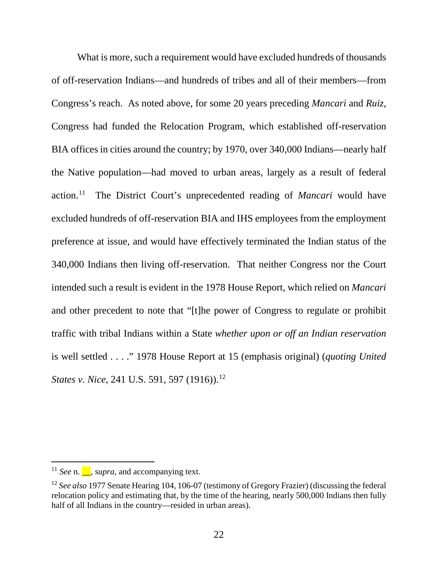What is more, such a requirement would have excluded hundreds of thousands of off-reservation Indians—and hundreds of tribes and all of their members—from Congress's reach. As noted above, for some 20 years preceding *Mancari* and *Ruiz*, Congress had funded the Relocation Program, which established off-reservation BIA offices in cities around the country; by 1970, over 340,000 Indians—nearly half the Native population—had moved to urban areas, largely as a result of federal action.[11](#page-23-0) The District Court's unprecedented reading of *Mancari* would have excluded hundreds of off-reservation BIA and IHS employees from the employment preference at issue, and would have effectively terminated the Indian status of the 340,000 Indians then living off-reservation. That neither Congress nor the Court intended such a result is evident in the 1978 House Report, which relied on *Mancari* and other precedent to note that "[t]he power of Congress to regulate or prohibit traffic with tribal Indians within a State *whether upon or off an Indian reservation* is well settled . . . ." 1978 House Report at 15 (emphasis original) (*quoting United States v. Nice*, 241 U.S. 591, 597 (1916)).<sup>[12](#page-23-1)</sup>

<span id="page-23-0"></span><sup>&</sup>lt;sup>11</sup> *See* n.  $\blacksquare$ , *supra*, and accompanying text.

<span id="page-23-1"></span><sup>12</sup> *See also* 1977 Senate Hearing 104, 106-07 (testimony of Gregory Frazier) (discussing the federal relocation policy and estimating that, by the time of the hearing, nearly 500,000 Indians then fully half of all Indians in the country—resided in urban areas).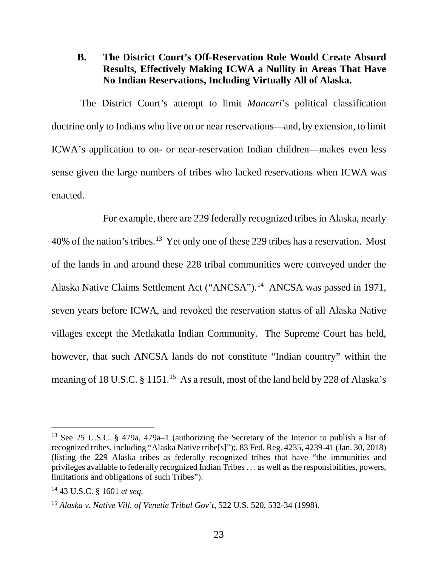#### **B. The District Court's Off-Reservation Rule Would Create Absurd Results, Effectively Making ICWA a Nullity in Areas That Have No Indian Reservations, Including Virtually All of Alaska.**

The District Court's attempt to limit *Mancari*'s political classification doctrine only to Indians who live on or near reservations—and, by extension, to limit ICWA's application to on- or near-reservation Indian children—makes even less sense given the large numbers of tribes who lacked reservations when ICWA was enacted.

For example, there are 229 federally recognized tribes in Alaska, nearly 40% of the nation's tribes.[13](#page-24-0) Yet only one of these 229 tribes has a reservation. Most of the lands in and around these 228 tribal communities were conveyed under the Alaska Native Claims Settlement Act ("ANCSA").[14](#page-24-1) ANCSA was passed in 1971, seven years before ICWA, and revoked the reservation status of all Alaska Native villages except the Metlakatla Indian Community. The Supreme Court has held, however, that such ANCSA lands do not constitute "Indian country" within the meaning of 18 U.S.C. § 1[15](#page-24-2)1.<sup>15</sup> As a result, most of the land held by 228 of Alaska's

<span id="page-24-0"></span> <sup>13</sup> See 25 U.S.C. § 479a, 479a–1 (authorizing the Secretary of the Interior to publish a list of recognized tribes, including "Alaska Native tribe[s]");, 83 Fed. Reg. 4235, 4239-41 (Jan. 30, 2018) (listing the 229 Alaska tribes as federally recognized tribes that have "the immunities and privileges available to federally recognized Indian Tribes . . . as well as the responsibilities, powers, limitations and obligations of such Tribes").

<span id="page-24-1"></span><sup>14</sup> 43 U.S.C. § 1601 *et seq*.

<span id="page-24-2"></span><sup>15</sup> *Alaska v. Native Vill. of Venetie Tribal Gov't*, 522 U.S. 520, 532-34 (1998).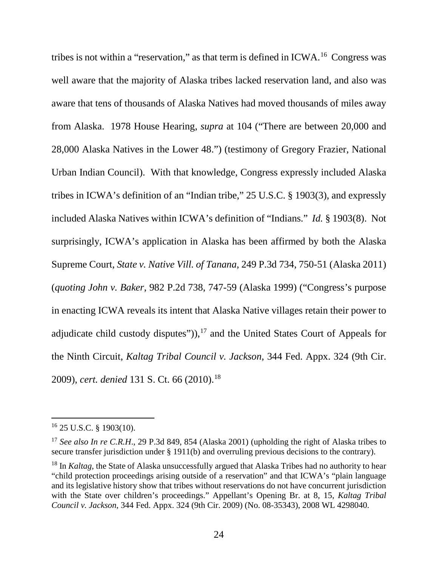tribes is not within a "reservation," as that term is defined in ICWA.[16](#page-25-0) Congress was well aware that the majority of Alaska tribes lacked reservation land, and also was aware that tens of thousands of Alaska Natives had moved thousands of miles away from Alaska. 1978 House Hearing, *supra* at 104 ("There are between 20,000 and 28,000 Alaska Natives in the Lower 48.") (testimony of Gregory Frazier, National Urban Indian Council). With that knowledge, Congress expressly included Alaska tribes in ICWA's definition of an "Indian tribe," 25 U.S.C. § 1903(3), and expressly included Alaska Natives within ICWA's definition of "Indians." *Id.* § 1903(8). Not surprisingly, ICWA's application in Alaska has been affirmed by both the Alaska Supreme Court, *State v. Native Vill. of Tanana*, 249 P.3d 734, 750-51 (Alaska 2011) (*quoting John v. Baker*, 982 P.2d 738, 747-59 (Alaska 1999) ("Congress's purpose in enacting ICWA reveals its intent that Alaska Native villages retain their power to adjudicate child custody disputes")), $17$  and the United States Court of Appeals for the Ninth Circuit, *Kaltag Tribal Council v. Jackson*, 344 Fed. Appx. 324 (9th Cir. 2009), *cert. denied* 131 S. Ct. 66 (2010).<sup>[18](#page-25-2)</sup>

<span id="page-25-0"></span> <sup>16</sup> 25 U.S.C. § 1903(10).

<span id="page-25-1"></span><sup>&</sup>lt;sup>17</sup> See also In re C.R.H., 29 P.3d 849, 854 (Alaska 2001) (upholding the right of Alaska tribes to secure transfer jurisdiction under § 1911(b) and overruling previous decisions to the contrary).

<span id="page-25-2"></span><sup>&</sup>lt;sup>18</sup> In *Kaltag*, the State of Alaska unsuccessfully argued that Alaska Tribes had no authority to hear "child protection proceedings arising outside of a reservation" and that ICWA's "plain language and its legislative history show that tribes without reservations do not have concurrent jurisdiction with the State over children's proceedings." Appellant's Opening Br. at 8, 15, *Kaltag Tribal Council v. Jackson*, 344 Fed. Appx. 324 (9th Cir. 2009) (No. 08-35343), 2008 WL 4298040.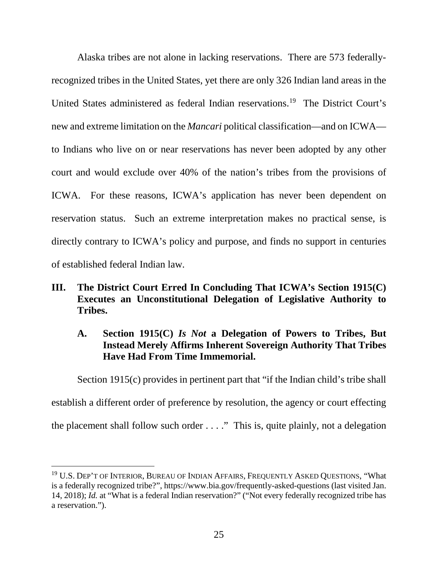Alaska tribes are not alone in lacking reservations. There are 573 federallyrecognized tribes in the United States, yet there are only 326 Indian land areas in the United States administered as federal Indian reservations.[19](#page-26-0) The District Court's new and extreme limitation on the *Mancari* political classification—and on ICWA to Indians who live on or near reservations has never been adopted by any other court and would exclude over 40% of the nation's tribes from the provisions of ICWA. For these reasons, ICWA's application has never been dependent on reservation status. Such an extreme interpretation makes no practical sense, is directly contrary to ICWA's policy and purpose, and finds no support in centuries of established federal Indian law.

#### **III. The District Court Erred In Concluding That ICWA's Section 1915(C) Executes an Unconstitutional Delegation of Legislative Authority to Tribes.**

### **A. Section 1915(C)** *Is Not* **a Delegation of Powers to Tribes, But Instead Merely Affirms Inherent Sovereign Authority That Tribes Have Had From Time Immemorial.**

Section 1915(c) provides in pertinent part that "if the Indian child's tribe shall

establish a different order of preference by resolution, the agency or court effecting

the placement shall follow such order . . . ." This is, quite plainly, not a delegation

<span id="page-26-0"></span><sup>&</sup>lt;sup>19</sup> U.S. DEP'T OF INTERIOR, BUREAU OF INDIAN AFFAIRS, FREQUENTLY ASKED QUESTIONS, "What is a federally recognized tribe?", https://www.bia.gov/frequently-asked-questions (last visited Jan. 14, 2018); *Id.* at "What is a federal Indian reservation?" ("Not every federally recognized tribe has a reservation.").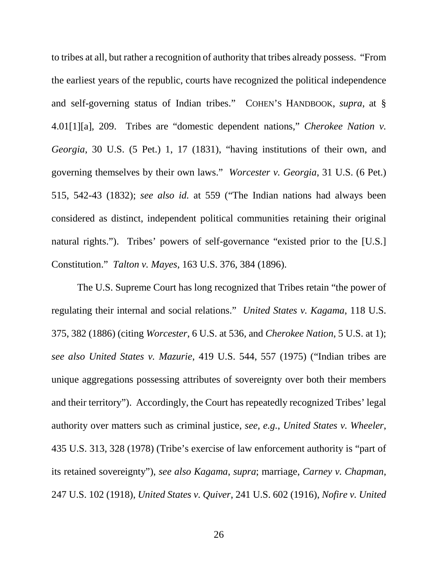to tribes at all, but rather a recognition of authority that tribes already possess. "From the earliest years of the republic, courts have recognized the political independence and self-governing status of Indian tribes." COHEN'S HANDBOOK, *supra*, at § 4.01[1][a], 209. Tribes are "domestic dependent nations," *Cherokee Nation v. Georgia*, 30 U.S. (5 Pet.) 1, 17 (1831), "having institutions of their own, and governing themselves by their own laws." *Worcester v. Georgia*, 31 U.S. (6 Pet.) 515, 542-43 (1832); *see also id.* at 559 ("The Indian nations had always been considered as distinct, independent political communities retaining their original natural rights."). Tribes' powers of self-governance "existed prior to the [U.S.] Constitution." *Talton v. Mayes*, 163 U.S. 376, 384 (1896).

The U.S. Supreme Court has long recognized that Tribes retain "the power of regulating their internal and social relations." *United States v. Kagama*, 118 U.S. 375, 382 (1886) (citing *Worcester*, 6 U.S. at 536, and *Cherokee Nation*, 5 U.S. at 1); *see also United States v. Mazurie*, 419 U.S. 544, 557 (1975) ("Indian tribes are unique aggregations possessing attributes of sovereignty over both their members and their territory"). Accordingly, the Court has repeatedly recognized Tribes' legal authority over matters such as criminal justice, *see, e.g.*, *United States v. Wheeler*, 435 U.S. 313, 328 (1978) (Tribe's exercise of law enforcement authority is "part of its retained sovereignty"), *see also Kagama*, *supra*; marriage, *Carney v. Chapman*, 247 U.S. 102 (1918), *United States v. Quiver*, 241 U.S. 602 (1916), *Nofire v. United*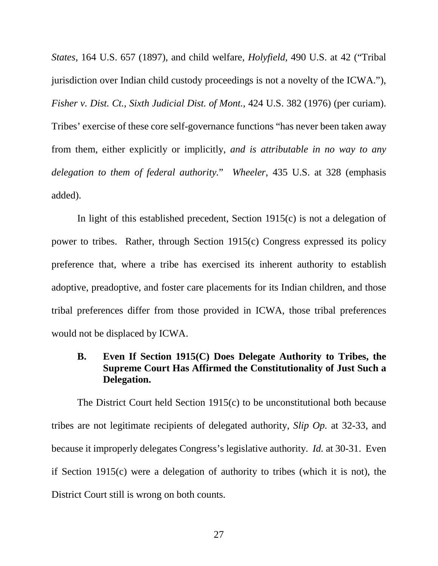*States*, 164 U.S. 657 (1897), and child welfare, *Holyfield*, 490 U.S. at 42 ("Tribal jurisdiction over Indian child custody proceedings is not a novelty of the ICWA."), *Fisher v. Dist. Ct., Sixth Judicial Dist. of Mont.*, 424 U.S. 382 (1976) (per curiam). Tribes' exercise of these core self-governance functions "has never been taken away from them, either explicitly or implicitly, *and is attributable in no way to any delegation to them of federal authority.*" *Wheeler*, 435 U.S. at 328 (emphasis added).

In light of this established precedent, Section 1915(c) is not a delegation of power to tribes. Rather, through Section 1915(c) Congress expressed its policy preference that, where a tribe has exercised its inherent authority to establish adoptive, preadoptive, and foster care placements for its Indian children, and those tribal preferences differ from those provided in ICWA, those tribal preferences would not be displaced by ICWA.

### **B. Even If Section 1915(C) Does Delegate Authority to Tribes, the Supreme Court Has Affirmed the Constitutionality of Just Such a Delegation.**

The District Court held Section 1915(c) to be unconstitutional both because tribes are not legitimate recipients of delegated authority, *Slip Op.* at 32-33, and because it improperly delegates Congress's legislative authority. *Id.* at 30-31. Even if Section 1915(c) were a delegation of authority to tribes (which it is not), the District Court still is wrong on both counts.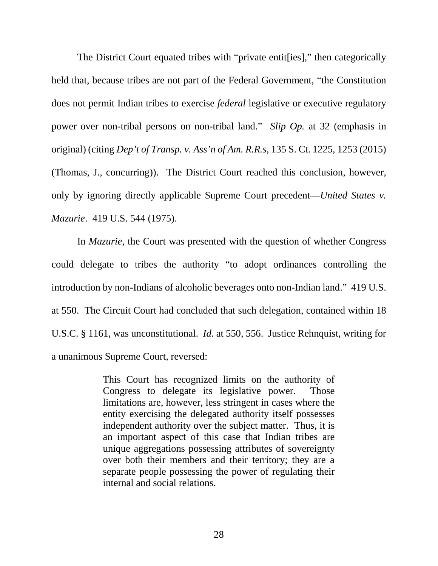The District Court equated tribes with "private entit[ies]," then categorically held that, because tribes are not part of the Federal Government, "the Constitution does not permit Indian tribes to exercise *federal* legislative or executive regulatory power over non-tribal persons on non-tribal land." *Slip Op.* at 32 (emphasis in original) (citing *Dep't of Transp. v. Ass'n of Am. R.R.s*, 135 S. Ct. 1225, 1253 (2015) (Thomas, J., concurring)). The District Court reached this conclusion, however, only by ignoring directly applicable Supreme Court precedent—*United States v. Mazurie*. 419 U.S. 544 (1975).

In *Mazurie*, the Court was presented with the question of whether Congress could delegate to tribes the authority "to adopt ordinances controlling the introduction by non-Indians of alcoholic beverages onto non-Indian land." 419 U.S. at 550. The Circuit Court had concluded that such delegation, contained within 18 U.S.C. § 1161, was unconstitutional. *Id.* at 550, 556. Justice Rehnquist, writing for a unanimous Supreme Court, reversed:

> This Court has recognized limits on the authority of Congress to delegate its legislative power. Those limitations are, however, less stringent in cases where the entity exercising the delegated authority itself possesses independent authority over the subject matter. Thus, it is an important aspect of this case that Indian tribes are unique aggregations possessing attributes of sovereignty over both their members and their territory; they are a separate people possessing the power of regulating their internal and social relations.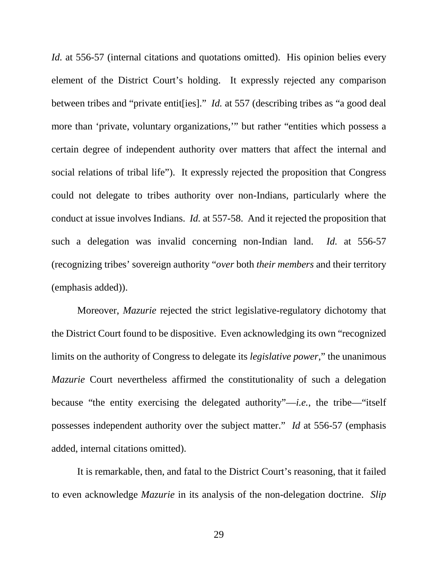*Id.* at 556-57 (internal citations and quotations omitted). His opinion belies every element of the District Court's holding. It expressly rejected any comparison between tribes and "private entit[ies]." *Id.* at 557 (describing tribes as "a good deal more than 'private, voluntary organizations,'" but rather "entities which possess a certain degree of independent authority over matters that affect the internal and social relations of tribal life"). It expressly rejected the proposition that Congress could not delegate to tribes authority over non-Indians, particularly where the conduct at issue involves Indians. *Id.* at 557-58. And it rejected the proposition that such a delegation was invalid concerning non-Indian land. *Id.* at 556-57 (recognizing tribes' sovereign authority "*over* both *their members* and their territory (emphasis added)).

Moreover, *Mazurie* rejected the strict legislative-regulatory dichotomy that the District Court found to be dispositive. Even acknowledging its own "recognized limits on the authority of Congress to delegate its *legislative power*," the unanimous *Mazurie* Court nevertheless affirmed the constitutionality of such a delegation because "the entity exercising the delegated authority"—*i.e.*, the tribe—"itself possesses independent authority over the subject matter." *Id* at 556-57 (emphasis added, internal citations omitted).

It is remarkable, then, and fatal to the District Court's reasoning, that it failed to even acknowledge *Mazurie* in its analysis of the non-delegation doctrine. *Slip* 

29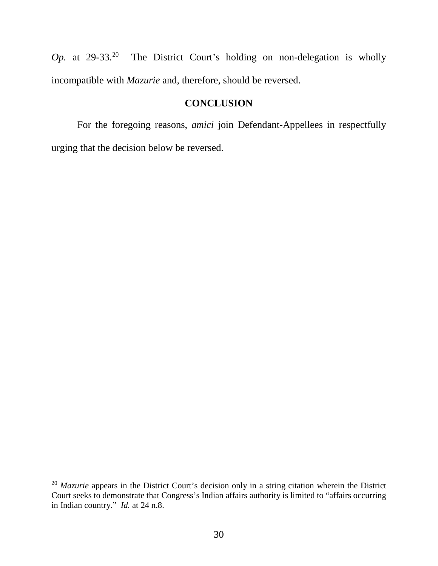*Op.* at 29-33.<sup>[20](#page-31-0)</sup> The District Court's holding on non-delegation is wholly incompatible with *Mazurie* and, therefore, should be reversed.

### **CONCLUSION**

For the foregoing reasons, *amici* join Defendant-Appellees in respectfully urging that the decision below be reversed.

<span id="page-31-0"></span><sup>&</sup>lt;sup>20</sup> *Mazurie* appears in the District Court's decision only in a string citation wherein the District Court seeks to demonstrate that Congress's Indian affairs authority is limited to "affairs occurring in Indian country." *Id.* at 24 n.8.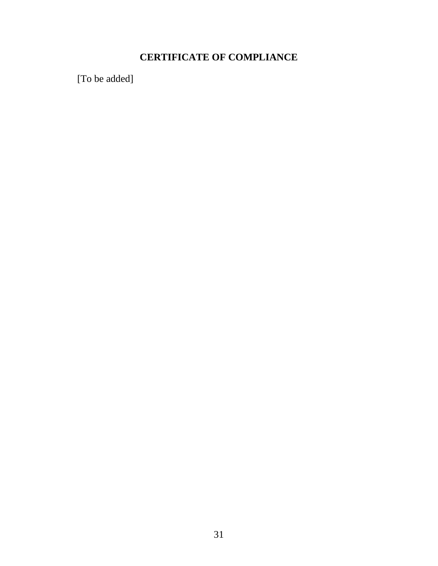## **CERTIFICATE OF COMPLIANCE**

[To be added]